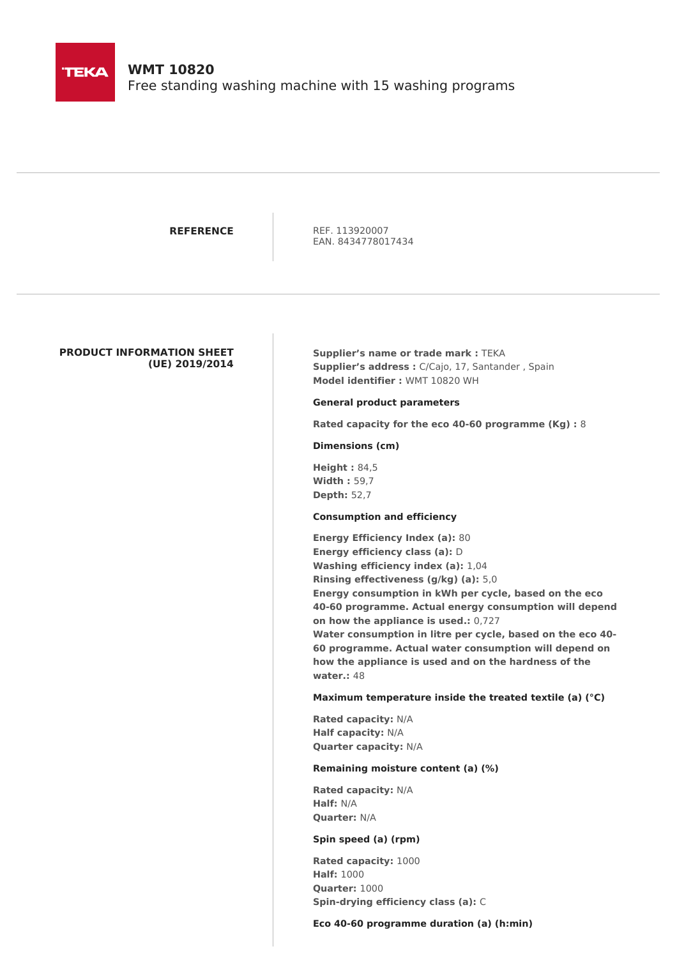

## **WMT 10820**

Free standing washing machine with 15 washing programs